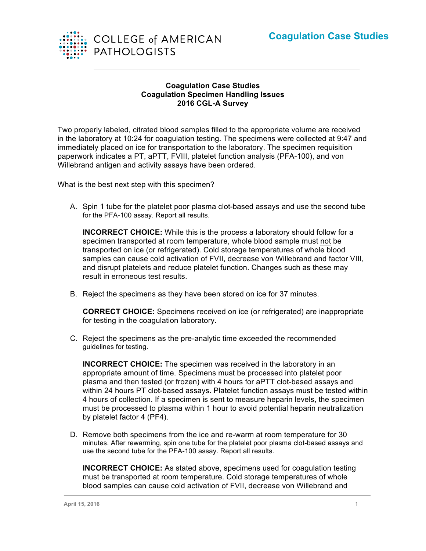

## **Coagulation Case Studies Coagulation Specimen Handling Issues 2016 CGL-A Survey**

Two properly labeled, citrated blood samples filled to the appropriate volume are received in the laboratory at 10:24 for coagulation testing. The specimens were collected at 9:47 and immediately placed on ice for transportation to the laboratory. The specimen requisition paperwork indicates a PT, aPTT, FVIII, platelet function analysis (PFA-100), and von Willebrand antigen and activity assays have been ordered.

What is the best next step with this specimen?

A. Spin 1 tube for the platelet poor plasma clot-based assays and use the second tube for the PFA-100 assay. Report all results.

**INCORRECT CHOICE:** While this is the process a laboratory should follow for a specimen transported at room temperature, whole blood sample must not be transported on ice (or refrigerated). Cold storage temperatures of whole blood samples can cause cold activation of FVII, decrease von Willebrand and factor VIII, and disrupt platelets and reduce platelet function. Changes such as these may result in erroneous test results.

B. Reject the specimens as they have been stored on ice for 37 minutes.

**CORRECT CHOICE:** Specimens received on ice (or refrigerated) are inappropriate for testing in the coagulation laboratory.

C. Reject the specimens as the pre-analytic time exceeded the recommended guidelines for testing.

**INCORRECT CHOICE:** The specimen was received in the laboratory in an appropriate amount of time. Specimens must be processed into platelet poor plasma and then tested (or frozen) with 4 hours for aPTT clot-based assays and within 24 hours PT clot-based assays. Platelet function assays must be tested within 4 hours of collection. If a specimen is sent to measure heparin levels, the specimen must be processed to plasma within 1 hour to avoid potential heparin neutralization by platelet factor 4 (PF4).

D. Remove both specimens from the ice and re-warm at room temperature for 30 minutes. After rewarming, spin one tube for the platelet poor plasma clot-based assays and use the second tube for the PFA-100 assay. Report all results.

**INCORRECT CHOICE:** As stated above, specimens used for coagulation testing must be transported at room temperature. Cold storage temperatures of whole blood samples can cause cold activation of FVII, decrease von Willebrand and